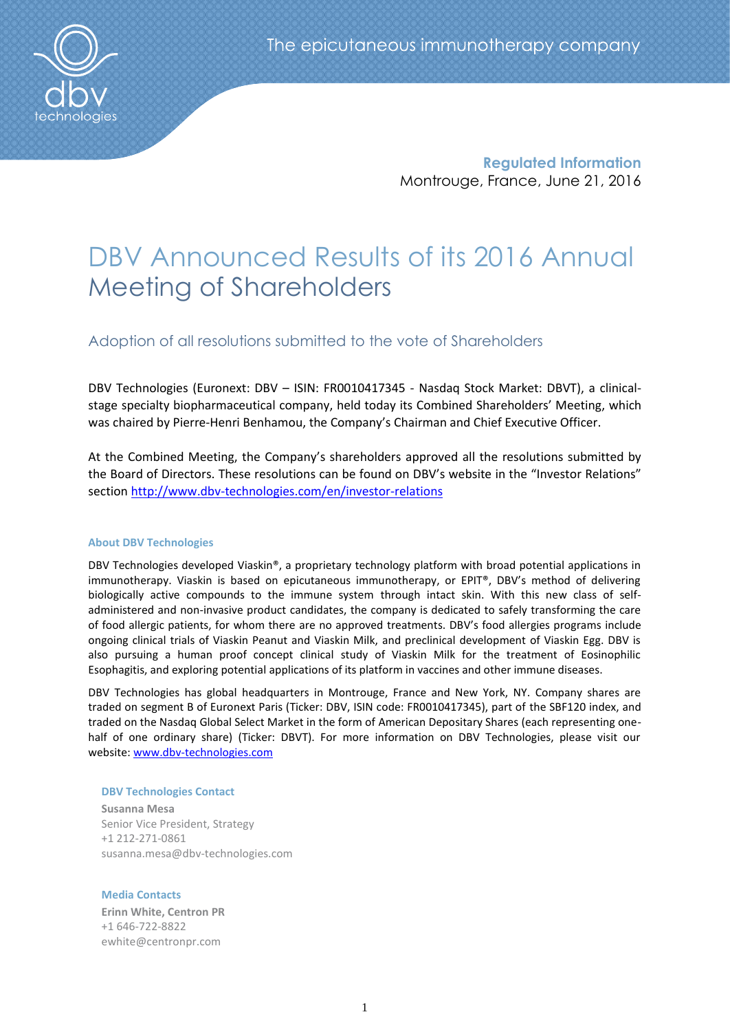

**Regulated Information** Montrouge, France, June 21, 2016

# DBV Announced Results of its 2016 Annual Meeting of Shareholders

Adoption of all resolutions submitted to the vote of Shareholders

DBV Technologies (Euronext: DBV – ISIN: FR0010417345 - Nasdaq Stock Market: DBVT), a clinicalstage specialty biopharmaceutical company, held today its Combined Shareholders' Meeting, which was chaired by Pierre-Henri Benhamou, the Company's Chairman and Chief Executive Officer.

At the Combined Meeting, the Company's shareholders approved all the resolutions submitted by the Board of Directors. These resolutions can be found on DBV's website in the "Investor Relations" section <http://www.dbv-technologies.com/en/investor-relations>

#### **About DBV Technologies**

DBV Technologies developed Viaskin®, a proprietary technology platform with broad potential applications in immunotherapy. Viaskin is based on epicutaneous immunotherapy, or EPIT®, DBV's method of delivering biologically active compounds to the immune system through intact skin. With this new class of selfadministered and non-invasive product candidates, the company is dedicated to safely transforming the care of food allergic patients, for whom there are no approved treatments. DBV's food allergies programs include ongoing clinical trials of Viaskin Peanut and Viaskin Milk, and preclinical development of Viaskin Egg. DBV is also pursuing a human proof concept clinical study of Viaskin Milk for the treatment of Eosinophilic Esophagitis, and exploring potential applications of its platform in vaccines and other immune diseases.

DBV Technologies has global headquarters in Montrouge, France and New York, NY. Company shares are traded on segment B of Euronext Paris (Ticker: DBV, ISIN code: FR0010417345), part of the SBF120 index, and traded on the Nasdaq Global Select Market in the form of American Depositary Shares (each representing onehalf of one ordinary share) (Ticker: DBVT). For more information on DBV Technologies, please visit our website: [www.dbv-technologies.com](http://www.dbv-technologies.com/)

#### **DBV Technologies Contact**

**Susanna Mesa** Senior Vice President, Strategy +1 212-271-0861 [susanna.mesa@dbv-technologies.com](mailto:susanna.mesa@dbv-technologies.com)

## **Media Contacts**

**Erinn White, Centron PR**  +1 646-722-8822 [ewhite@centronpr.com](mailto:ewhite@centronpr.com)